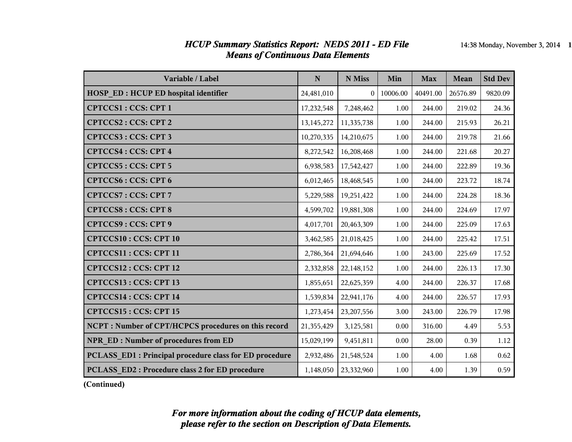#### *HCUP Summary Statistics Report: NEDS 2011 - ED File* 14:38 Monday, November 3, 2014 1 *Means of Continuous Data Elements*

| Variable / Label                                        | $\mathbf N$ | N Miss         | Min      | <b>Max</b> | <b>Mean</b> | <b>Std Dev</b> |
|---------------------------------------------------------|-------------|----------------|----------|------------|-------------|----------------|
| <b>HOSP ED: HCUP ED hospital identifier</b>             | 24,481,010  | $\overline{0}$ | 10006.00 | 40491.00   | 26576.89    | 9820.09        |
| <b>CPTCCS1: CCS: CPT 1</b>                              | 17,232,548  | 7,248,462      | 1.00     | 244.00     | 219.02      | 24.36          |
| <b>CPTCCS2: CCS: CPT 2</b>                              | 13,145,272  | 11,335,738     | 1.00     | 244.00     | 215.93      | 26.21          |
| CPTCCS3: CCS: CPT 3                                     | 10,270,335  | 14,210,675     | 1.00     | 244.00     | 219.78      | 21.66          |
| <b>CPTCCS4: CCS: CPT 4</b>                              | 8,272,542   | 16,208,468     | 1.00     | 244.00     | 221.68      | 20.27          |
| <b>CPTCCS5: CCS: CPT 5</b>                              | 6,938,583   | 17,542,427     | 1.00     | 244.00     | 222.89      | 19.36          |
| <b>CPTCCS6: CCS: CPT 6</b>                              | 6,012,465   | 18,468,545     | 1.00     | 244.00     | 223.72      | 18.74          |
| <b>CPTCCS7: CCS: CPT 7</b>                              | 5,229,588   | 19,251,422     | 1.00     | 244.00     | 224.28      | 18.36          |
| <b>CPTCCS8: CCS: CPT 8</b>                              | 4,599,702   | 19,881,308     | 1.00     | 244.00     | 224.69      | 17.97          |
| <b>CPTCCS9: CCS: CPT 9</b>                              | 4,017,701   | 20,463,309     | 1.00     | 244.00     | 225.09      | 17.63          |
| <b>CPTCCS10: CCS: CPT 10</b>                            | 3,462,585   | 21,018,425     | 1.00     | 244.00     | 225.42      | 17.51          |
| CPTCCS11: CCS: CPT 11                                   | 2,786,364   | 21,694,646     | 1.00     | 243.00     | 225.69      | 17.52          |
| CPTCCS12: CCS: CPT 12                                   | 2,332,858   | 22,148,152     | 1.00     | 244.00     | 226.13      | 17.30          |
| CPTCCS13: CCS: CPT 13                                   | 1,855,651   | 22,625,359     | 4.00     | 244.00     | 226.37      | 17.68          |
| CPTCCS14 : CCS: CPT 14                                  | 1,539,834   | 22,941,176     | 4.00     | 244.00     | 226.57      | 17.93          |
| CPTCCS15: CCS: CPT 15                                   | 1,273,454   | 23,207,556     | 3.00     | 243.00     | 226.79      | 17.98          |
| NCPT: Number of CPT/HCPCS procedures on this record     | 21,355,429  | 3,125,581      | 0.00     | 316.00     | 4.49        | 5.53           |
| <b>NPR ED: Number of procedures from ED</b>             | 15,029,199  | 9,451,811      | 0.00     | 28.00      | 0.39        | 1.12           |
| PCLASS ED1 : Principal procedure class for ED procedure | 2,932,486   | 21,548,524     | 1.00     | 4.00       | 1.68        | 0.62           |
| PCLASS ED2: Procedure class 2 for ED procedure          | 1,148,050   | 23,332,960     | 1.00     | 4.00       | 1.39        | 0.59           |

**(Continued)**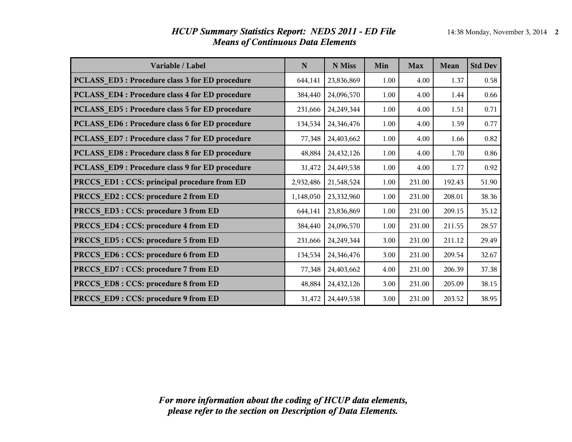| Variable / Label                                | $\mathbf N$ | N Miss       | Min  | <b>Max</b> | Mean   | <b>Std Dev</b> |
|-------------------------------------------------|-------------|--------------|------|------------|--------|----------------|
| PCLASS_ED3: Procedure class 3 for ED procedure  | 644,141     | 23,836,869   | 1.00 | 4.00       | 1.37   | 0.58           |
| PCLASS ED4 : Procedure class 4 for ED procedure | 384,440     | 24,096,570   | 1.00 | 4.00       | 1.44   | 0.66           |
| PCLASS ED5: Procedure class 5 for ED procedure  | 231,666     | 24, 249, 344 | 1.00 | 4.00       | 1.51   | 0.71           |
| PCLASS ED6 : Procedure class 6 for ED procedure | 134,534     | 24,346,476   | 1.00 | 4.00       | 1.59   | 0.77           |
| PCLASS_ED7: Procedure class 7 for ED procedure  | 77,348      | 24,403,662   | 1.00 | 4.00       | 1.66   | 0.82           |
| PCLASS ED8 : Procedure class 8 for ED procedure | 48,884      | 24,432,126   | 1.00 | 4.00       | 1.70   | 0.86           |
| PCLASS_ED9: Procedure class 9 for ED procedure  | 31,472      | 24,449,538   | 1.00 | 4.00       | 1.77   | 0.92           |
| PRCCS_ED1 : CCS: principal procedure from ED    | 2,932,486   | 21,548,524   | 1.00 | 231.00     | 192.43 | 51.90          |
| PRCCS ED2 : CCS: procedure 2 from ED            | 1,148,050   | 23,332,960   | 1.00 | 231.00     | 208.01 | 38.36          |
| PRCCS_ED3: CCS: procedure 3 from ED             | 644,141     | 23,836,869   | 1.00 | 231.00     | 209.15 | 35.12          |
| PRCCS_ED4 : CCS: procedure 4 from ED            | 384,440     | 24,096,570   | 1.00 | 231.00     | 211.55 | 28.57          |
| PRCCS ED5 : CCS: procedure 5 from ED            | 231,666     | 24, 249, 344 | 3.00 | 231.00     | 211.12 | 29.49          |
| PRCCS_ED6: CCS: procedure 6 from ED             | 134,534     | 24,346,476   | 3.00 | 231.00     | 209.54 | 32.67          |
| PRCCS_ED7: CCS: procedure 7 from ED             | 77,348      | 24,403,662   | 4.00 | 231.00     | 206.39 | 37.38          |
| PRCCS ED8 : CCS: procedure 8 from ED            | 48,884      | 24,432,126   | 3.00 | 231.00     | 205.09 | 38.15          |
| PRCCS ED9: CCS: procedure 9 from ED             | 31,472      | 24,449,538   | 3.00 | 231.00     | 203.52 | 38.95          |

#### *HCUP Summary Statistics Report: NEDS 2011 - ED File* 14:38 Monday, November 3, 2014 **2** *Means of Continuous Data Elements*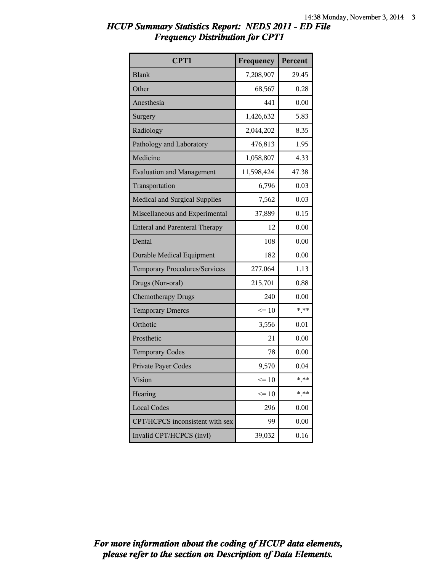| HCUP Summary Statistics Report: NEDS 2011 - ED File |  |
|-----------------------------------------------------|--|
| <b>Frequency Distribution for CPT1</b>              |  |

| CPT1                                  | Frequency       | Percent |
|---------------------------------------|-----------------|---------|
| <b>Blank</b>                          | 7,208,907       | 29.45   |
| Other                                 | 68,567          | 0.28    |
| Anesthesia                            | 441             | 0.00    |
| Surgery                               | 1,426,632       | 5.83    |
| Radiology                             | 2,044,202       | 8.35    |
| Pathology and Laboratory              | 476,813         | 1.95    |
| Medicine                              | 1,058,807       | 4.33    |
| <b>Evaluation and Management</b>      | 11,598,424      | 47.38   |
| Transportation                        | 6,796           | 0.03    |
| <b>Medical and Surgical Supplies</b>  | 7,562           | 0.03    |
| Miscellaneous and Experimental        | 37,889          | 0.15    |
| <b>Enteral and Parenteral Therapy</b> | 12              | 0.00    |
| Dental                                | 108             | 0.00    |
| <b>Durable Medical Equipment</b>      | 182             | 0.00    |
| Temporary Procedures/Services         | 277,064         | 1.13    |
| Drugs (Non-oral)                      | 215,701         | 0.88    |
| <b>Chemotherapy Drugs</b>             | 240             | 0.00    |
| <b>Temporary Dmercs</b>               | $\leq 10$       | $***$   |
| Orthotic                              | 3,556           | 0.01    |
| Prosthetic                            | 21              | 0.00    |
| <b>Temporary Codes</b>                | 78              | 0.00    |
| Private Payer Codes                   | 9,570           | 0.04    |
| Vision                                | $\Leftarrow$ 10 | * **    |
| Hearing                               | $\leq 10$       | * **    |
| <b>Local Codes</b>                    | 296             | 0.00    |
| CPT/HCPCS inconsistent with sex       | 99              | 0.00    |
| Invalid CPT/HCPCS (invl)              | 39,032          | 0.16    |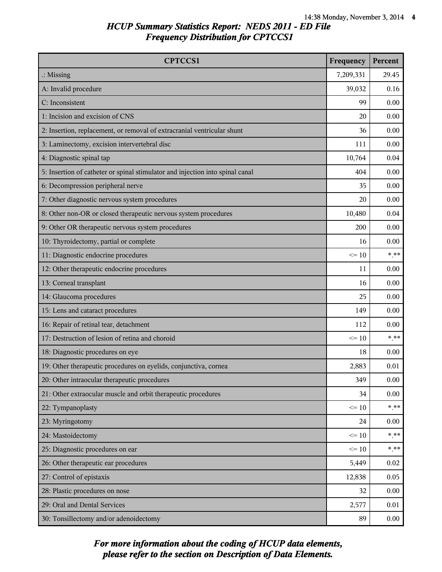| <b>CPTCCS1</b>                                                                | Frequency | Percent |
|-------------------------------------------------------------------------------|-----------|---------|
| $\therefore$ Missing                                                          | 7,209,331 | 29.45   |
| A: Invalid procedure                                                          | 39,032    | 0.16    |
| C: Inconsistent                                                               | 99        | 0.00    |
| 1: Incision and excision of CNS                                               | 20        | 0.00    |
| 2: Insertion, replacement, or removal of extracranial ventricular shunt       | 36        | 0.00    |
| 3: Laminectomy, excision intervertebral disc                                  | 111       | 0.00    |
| 4: Diagnostic spinal tap                                                      | 10,764    | 0.04    |
| 5: Insertion of catheter or spinal stimulator and injection into spinal canal | 404       | 0.00    |
| 6: Decompression peripheral nerve                                             | 35        | 0.00    |
| 7: Other diagnostic nervous system procedures                                 | 20        | 0.00    |
| 8: Other non-OR or closed therapeutic nervous system procedures               | 10,480    | 0.04    |
| 9: Other OR therapeutic nervous system procedures                             | 200       | 0.00    |
| 10: Thyroidectomy, partial or complete                                        | 16        | 0.00    |
| 11: Diagnostic endocrine procedures                                           | $\leq 10$ | $***$   |
| 12: Other therapeutic endocrine procedures                                    | 11        | 0.00    |
| 13: Corneal transplant                                                        | 16        | 0.00    |
| 14: Glaucoma procedures                                                       | 25        | 0.00    |
| 15: Lens and cataract procedures                                              | 149       | 0.00    |
| 16: Repair of retinal tear, detachment                                        | 112       | 0.00    |
| 17: Destruction of lesion of retina and choroid                               | $\leq 10$ | $***$   |
| 18: Diagnostic procedures on eye                                              | 18        | 0.00    |
| 19: Other therapeutic procedures on eyelids, conjunctiva, cornea              | 2,883     | 0.01    |
| 20: Other intraocular therapeutic procedures                                  | 349       | 0.00    |
| 21: Other extraocular muscle and orbit therapeutic procedures                 | 34        | 0.00    |
| 22: Tympanoplasty                                                             | $\leq 10$ | $***$   |
| 23: Myringotomy                                                               | 24        | 0.00    |
| 24: Mastoidectomy                                                             | $\leq 10$ | $*$ **  |
| 25: Diagnostic procedures on ear                                              | $\leq 10$ | $***$   |
| 26: Other therapeutic ear procedures                                          | 5,449     | 0.02    |
| 27: Control of epistaxis                                                      | 12,838    | 0.05    |
| 28: Plastic procedures on nose                                                | 32        | 0.00    |
| 29: Oral and Dental Services                                                  | 2,577     | 0.01    |
| 30: Tonsillectomy and/or adenoidectomy                                        | 89        | 0.00    |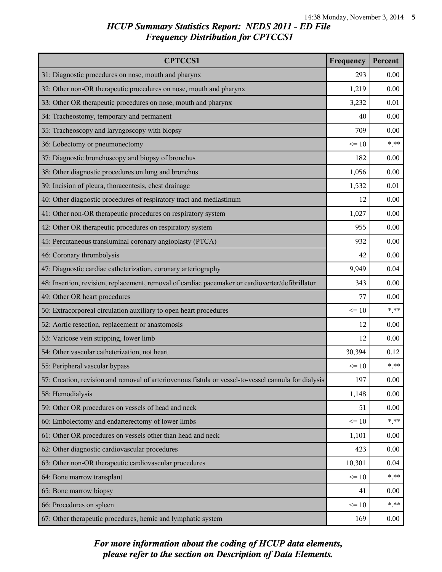| <b>CPTCCS1</b>                                                                                       | Frequency | Percent |
|------------------------------------------------------------------------------------------------------|-----------|---------|
| 31: Diagnostic procedures on nose, mouth and pharynx                                                 | 293       | 0.00    |
| 32: Other non-OR therapeutic procedures on nose, mouth and pharynx                                   | 1,219     | 0.00    |
| 33: Other OR therapeutic procedures on nose, mouth and pharynx                                       | 3,232     | 0.01    |
| 34: Tracheostomy, temporary and permanent                                                            | 40        | 0.00    |
| 35: Tracheoscopy and laryngoscopy with biopsy                                                        | 709       | 0.00    |
| 36: Lobectomy or pneumonectomy                                                                       | $\leq 10$ | $***$   |
| 37: Diagnostic bronchoscopy and biopsy of bronchus                                                   | 182       | 0.00    |
| 38: Other diagnostic procedures on lung and bronchus                                                 | 1,056     | 0.00    |
| 39: Incision of pleura, thoracentesis, chest drainage                                                | 1,532     | 0.01    |
| 40: Other diagnostic procedures of respiratory tract and mediastinum                                 | 12        | 0.00    |
| 41: Other non-OR therapeutic procedures on respiratory system                                        | 1,027     | 0.00    |
| 42: Other OR therapeutic procedures on respiratory system                                            | 955       | 0.00    |
| 45: Percutaneous transluminal coronary angioplasty (PTCA)                                            | 932       | 0.00    |
| 46: Coronary thrombolysis                                                                            | 42        | 0.00    |
| 47: Diagnostic cardiac catheterization, coronary arteriography                                       | 9,949     | 0.04    |
| 48: Insertion, revision, replacement, removal of cardiac pacemaker or cardioverter/defibrillator     | 343       | 0.00    |
| 49: Other OR heart procedures                                                                        | 77        | 0.00    |
| 50: Extracorporeal circulation auxiliary to open heart procedures                                    | $\leq 10$ | $***$   |
| 52: Aortic resection, replacement or anastomosis                                                     | 12        | 0.00    |
| 53: Varicose vein stripping, lower limb                                                              | 12        | 0.00    |
| 54: Other vascular catheterization, not heart                                                        | 30,394    | 0.12    |
| 55: Peripheral vascular bypass                                                                       | $\leq 10$ | $***$   |
| 57: Creation, revision and removal of arteriovenous fistula or vessel-to-vessel cannula for dialysis | 197       | 0.00    |
| 58: Hemodialysis                                                                                     | 1,148     | 0.00    |
| 59: Other OR procedures on vessels of head and neck                                                  | 51        | 0.00    |
| 60: Embolectomy and endarterectomy of lower limbs                                                    | $\leq 10$ | $***$   |
| 61: Other OR procedures on vessels other than head and neck                                          | 1,101     | 0.00    |
| 62: Other diagnostic cardiovascular procedures                                                       | 423       | 0.00    |
| 63: Other non-OR therapeutic cardiovascular procedures                                               | 10,301    | 0.04    |
| 64: Bone marrow transplant                                                                           | $\leq 10$ | $***$   |
| 65: Bone marrow biopsy                                                                               | 41        | 0.00    |
| 66: Procedures on spleen                                                                             | $\leq 10$ | $*$ **  |
| 67: Other therapeutic procedures, hemic and lymphatic system                                         | 169       | 0.00    |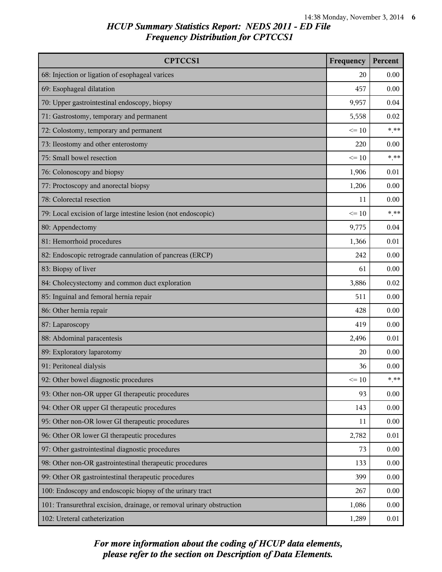| <b>CPTCCS1</b>                                                        | Frequency | Percent |
|-----------------------------------------------------------------------|-----------|---------|
| 68: Injection or ligation of esophageal varices                       | 20        | 0.00    |
| 69: Esophageal dilatation                                             | 457       | 0.00    |
| 70: Upper gastrointestinal endoscopy, biopsy                          | 9,957     | 0.04    |
| 71: Gastrostomy, temporary and permanent                              | 5,558     | 0.02    |
| 72: Colostomy, temporary and permanent                                | $\leq 10$ | $***$   |
| 73: Ileostomy and other enterostomy                                   | 220       | 0.00    |
| 75: Small bowel resection                                             | $\leq 10$ | $***$   |
| 76: Colonoscopy and biopsy                                            | 1,906     | 0.01    |
| 77: Proctoscopy and anorectal biopsy                                  | 1,206     | 0.00    |
| 78: Colorectal resection                                              | 11        | 0.00    |
| 79: Local excision of large intestine lesion (not endoscopic)         | $\leq 10$ | $***$   |
| 80: Appendectomy                                                      | 9,775     | 0.04    |
| 81: Hemorrhoid procedures                                             | 1,366     | 0.01    |
| 82: Endoscopic retrograde cannulation of pancreas (ERCP)              | 242       | 0.00    |
| 83: Biopsy of liver                                                   | 61        | 0.00    |
| 84: Cholecystectomy and common duct exploration                       | 3,886     | 0.02    |
| 85: Inguinal and femoral hernia repair                                | 511       | 0.00    |
| 86: Other hernia repair                                               | 428       | 0.00    |
| 87: Laparoscopy                                                       | 419       | 0.00    |
| 88: Abdominal paracentesis                                            | 2,496     | 0.01    |
| 89: Exploratory laparotomy                                            | 20        | 0.00    |
| 91: Peritoneal dialysis                                               | 36        | 0.00    |
| 92: Other bowel diagnostic procedures                                 | $\leq 10$ | $***$   |
| 93: Other non-OR upper GI therapeutic procedures                      | 93        | 0.00    |
| 94: Other OR upper GI therapeutic procedures                          | 143       | 0.00    |
| 95: Other non-OR lower GI therapeutic procedures                      | 11        | 0.00    |
| 96: Other OR lower GI therapeutic procedures                          | 2,782     | 0.01    |
| 97: Other gastrointestinal diagnostic procedures                      | 73        | 0.00    |
| 98: Other non-OR gastrointestinal therapeutic procedures              | 133       | 0.00    |
| 99: Other OR gastrointestinal therapeutic procedures                  | 399       | 0.00    |
| 100: Endoscopy and endoscopic biopsy of the urinary tract             | 267       | 0.00    |
| 101: Transurethral excision, drainage, or removal urinary obstruction | 1,086     | 0.00    |
| 102: Ureteral catheterization                                         | 1,289     | 0.01    |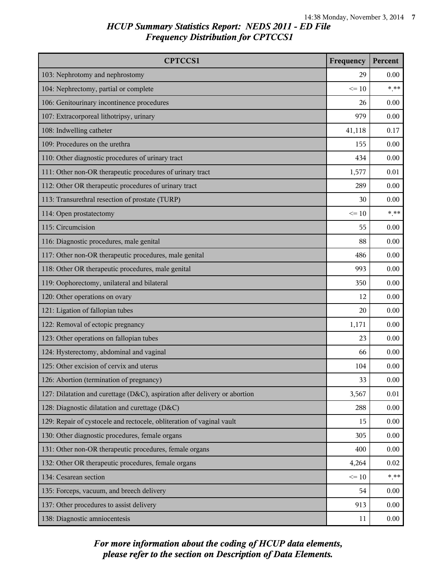| <b>CPTCCS1</b>                                                             | Frequency | Percent |
|----------------------------------------------------------------------------|-----------|---------|
| 103: Nephrotomy and nephrostomy                                            | 29        | 0.00    |
| 104: Nephrectomy, partial or complete                                      | $\leq 10$ | $***$   |
| 106: Genitourinary incontinence procedures                                 | 26        | 0.00    |
| 107: Extracorporeal lithotripsy, urinary                                   | 979       | 0.00    |
| 108: Indwelling catheter                                                   | 41,118    | 0.17    |
| 109: Procedures on the urethra                                             | 155       | 0.00    |
| 110: Other diagnostic procedures of urinary tract                          | 434       | 0.00    |
| 111: Other non-OR therapeutic procedures of urinary tract                  | 1,577     | 0.01    |
| 112: Other OR therapeutic procedures of urinary tract                      | 289       | 0.00    |
| 113: Transurethral resection of prostate (TURP)                            | 30        | 0.00    |
| 114: Open prostatectomy                                                    | $\leq 10$ | $***$   |
| 115: Circumcision                                                          | 55        | 0.00    |
| 116: Diagnostic procedures, male genital                                   | 88        | 0.00    |
| 117: Other non-OR therapeutic procedures, male genital                     | 486       | 0.00    |
| 118: Other OR therapeutic procedures, male genital                         | 993       | 0.00    |
| 119: Oophorectomy, unilateral and bilateral                                | 350       | 0.00    |
| 120: Other operations on ovary                                             | 12        | 0.00    |
| 121: Ligation of fallopian tubes                                           | 20        | 0.00    |
| 122: Removal of ectopic pregnancy                                          | 1,171     | 0.00    |
| 123: Other operations on fallopian tubes                                   | 23        | 0.00    |
| 124: Hysterectomy, abdominal and vaginal                                   | 66        | 0.00    |
| 125: Other excision of cervix and uterus                                   | 104       | 0.00    |
| 126: Abortion (termination of pregnancy)                                   | 33        | 0.00    |
| 127: Dilatation and curettage (D&C), aspiration after delivery or abortion | 3,567     | 0.01    |
| 128: Diagnostic dilatation and curettage (D&C)                             | 288       | 0.00    |
| 129: Repair of cystocele and rectocele, obliteration of vaginal vault      | 15        | 0.00    |
| 130: Other diagnostic procedures, female organs                            | 305       | 0.00    |
| 131: Other non-OR therapeutic procedures, female organs                    | 400       | 0.00    |
| 132: Other OR therapeutic procedures, female organs                        | 4,264     | 0.02    |
| 134: Cesarean section                                                      | $\leq 10$ | $***$   |
| 135: Forceps, vacuum, and breech delivery                                  | 54        | 0.00    |
| 137: Other procedures to assist delivery                                   | 913       | 0.00    |
| 138: Diagnostic amniocentesis                                              | 11        | 0.00    |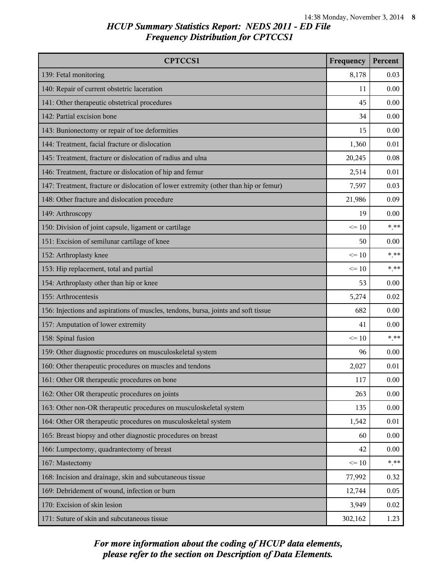| <b>CPTCCS1</b>                                                                       | Frequency | Percent |
|--------------------------------------------------------------------------------------|-----------|---------|
| 139: Fetal monitoring                                                                | 8,178     | 0.03    |
| 140: Repair of current obstetric laceration                                          | 11        | 0.00    |
| 141: Other therapeutic obstetrical procedures                                        | 45        | 0.00    |
| 142: Partial excision bone                                                           | 34        | 0.00    |
| 143: Bunionectomy or repair of toe deformities                                       | 15        | 0.00    |
| 144: Treatment, facial fracture or dislocation                                       | 1,360     | 0.01    |
| 145: Treatment, fracture or dislocation of radius and ulna                           | 20,245    | 0.08    |
| 146: Treatment, fracture or dislocation of hip and femur                             | 2,514     | 0.01    |
| 147: Treatment, fracture or dislocation of lower extremity (other than hip or femur) | 7,597     | 0.03    |
| 148: Other fracture and dislocation procedure                                        | 21,986    | 0.09    |
| 149: Arthroscopy                                                                     | 19        | 0.00    |
| 150: Division of joint capsule, ligament or cartilage                                | $\leq 10$ | $***$   |
| 151: Excision of semilunar cartilage of knee                                         | 50        | 0.00    |
| 152: Arthroplasty knee                                                               | $\leq 10$ | $***$   |
| 153: Hip replacement, total and partial                                              | $\leq 10$ | $***$   |
| 154: Arthroplasty other than hip or knee                                             | 53        | 0.00    |
| 155: Arthrocentesis                                                                  | 5,274     | 0.02    |
| 156: Injections and aspirations of muscles, tendons, bursa, joints and soft tissue   | 682       | 0.00    |
| 157: Amputation of lower extremity                                                   | 41        | 0.00    |
| 158: Spinal fusion                                                                   | $\leq 10$ | $***$   |
| 159: Other diagnostic procedures on musculoskeletal system                           | 96        | 0.00    |
| 160: Other therapeutic procedures on muscles and tendons                             | 2,027     | 0.01    |
| 161: Other OR therapeutic procedures on bone                                         | 117       | 0.00    |
| 162: Other OR therapeutic procedures on joints                                       | 263       | 0.00    |
| 163: Other non-OR therapeutic procedures on musculoskeletal system                   | 135       | 0.00    |
| 164: Other OR therapeutic procedures on musculoskeletal system                       | 1,542     | 0.01    |
| 165: Breast biopsy and other diagnostic procedures on breast                         | 60        | 0.00    |
| 166: Lumpectomy, quadrantectomy of breast                                            | 42        | 0.00    |
| 167: Mastectomy                                                                      | $\leq 10$ | $***$   |
| 168: Incision and drainage, skin and subcutaneous tissue                             | 77,992    | 0.32    |
| 169: Debridement of wound, infection or burn                                         | 12,744    | 0.05    |
| 170: Excision of skin lesion                                                         | 3,949     | 0.02    |
| 171: Suture of skin and subcutaneous tissue                                          | 302,162   | 1.23    |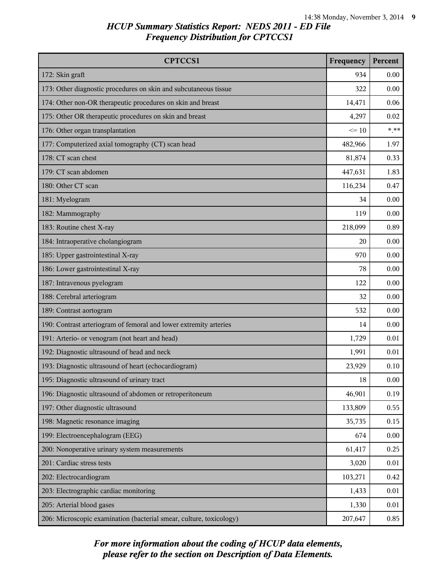| <b>CPTCCS1</b>                                                      | Frequency | Percent |
|---------------------------------------------------------------------|-----------|---------|
| 172: Skin graft                                                     | 934       | 0.00    |
| 173: Other diagnostic procedures on skin and subcutaneous tissue    | 322       | 0.00    |
| 174: Other non-OR therapeutic procedures on skin and breast         | 14,471    | 0.06    |
| 175: Other OR therapeutic procedures on skin and breast             | 4,297     | 0.02    |
| 176: Other organ transplantation                                    | $\leq 10$ | $***$   |
| 177: Computerized axial tomography (CT) scan head                   | 482,966   | 1.97    |
| 178: CT scan chest                                                  | 81,874    | 0.33    |
| 179: CT scan abdomen                                                | 447,631   | 1.83    |
| 180: Other CT scan                                                  | 116,234   | 0.47    |
| 181: Myelogram                                                      | 34        | 0.00    |
| 182: Mammography                                                    | 119       | 0.00    |
| 183: Routine chest X-ray                                            | 218,099   | 0.89    |
| 184: Intraoperative cholangiogram                                   | 20        | 0.00    |
| 185: Upper gastrointestinal X-ray                                   | 970       | 0.00    |
| 186: Lower gastrointestinal X-ray                                   | 78        | 0.00    |
| 187: Intravenous pyelogram                                          | 122       | 0.00    |
| 188: Cerebral arteriogram                                           | 32        | 0.00    |
| 189: Contrast aortogram                                             | 532       | 0.00    |
| 190: Contrast arteriogram of femoral and lower extremity arteries   | 14        | 0.00    |
| 191: Arterio- or venogram (not heart and head)                      | 1,729     | 0.01    |
| 192: Diagnostic ultrasound of head and neck                         | 1,991     | 0.01    |
| 193: Diagnostic ultrasound of heart (echocardiogram)                | 23,929    | 0.10    |
| 195: Diagnostic ultrasound of urinary tract                         | 18        | 0.00    |
| 196: Diagnostic ultrasound of abdomen or retroperitoneum            | 46,901    | 0.19    |
| 197: Other diagnostic ultrasound                                    | 133,809   | 0.55    |
| 198: Magnetic resonance imaging                                     | 35,735    | 0.15    |
| 199: Electroencephalogram (EEG)                                     | 674       | 0.00    |
| 200: Nonoperative urinary system measurements                       | 61,417    | 0.25    |
| 201: Cardiac stress tests                                           | 3,020     | 0.01    |
| 202: Electrocardiogram                                              | 103,271   | 0.42    |
| 203: Electrographic cardiac monitoring                              | 1,433     | 0.01    |
| 205: Arterial blood gases                                           | 1,330     | 0.01    |
| 206: Microscopic examination (bacterial smear, culture, toxicology) | 207,647   | 0.85    |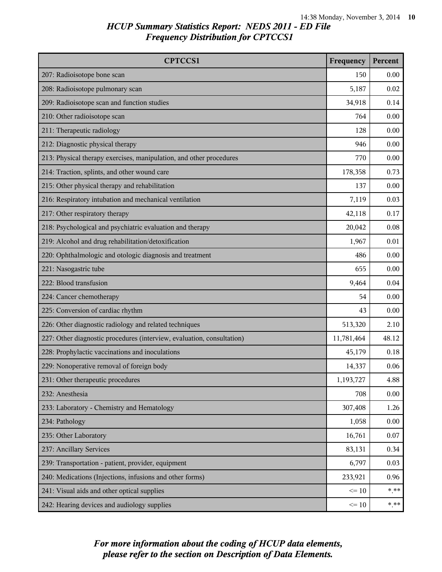| <b>CPTCCS1</b>                                                         | Frequency  | Percent |
|------------------------------------------------------------------------|------------|---------|
| 207: Radioisotope bone scan                                            | 150        | 0.00    |
| 208: Radioisotope pulmonary scan                                       | 5,187      | 0.02    |
| 209: Radioisotope scan and function studies                            | 34,918     | 0.14    |
| 210: Other radioisotope scan                                           | 764        | 0.00    |
| 211: Therapeutic radiology                                             | 128        | 0.00    |
| 212: Diagnostic physical therapy                                       | 946        | 0.00    |
| 213: Physical therapy exercises, manipulation, and other procedures    | 770        | 0.00    |
| 214: Traction, splints, and other wound care                           | 178,358    | 0.73    |
| 215: Other physical therapy and rehabilitation                         | 137        | 0.00    |
| 216: Respiratory intubation and mechanical ventilation                 | 7,119      | 0.03    |
| 217: Other respiratory therapy                                         | 42,118     | 0.17    |
| 218: Psychological and psychiatric evaluation and therapy              | 20,042     | 0.08    |
| 219: Alcohol and drug rehabilitation/detoxification                    | 1,967      | 0.01    |
| 220: Ophthalmologic and otologic diagnosis and treatment               | 486        | 0.00    |
| 221: Nasogastric tube                                                  | 655        | 0.00    |
| 222: Blood transfusion                                                 | 9,464      | 0.04    |
| 224: Cancer chemotherapy                                               | 54         | 0.00    |
| 225: Conversion of cardiac rhythm                                      | 43         | 0.00    |
| 226: Other diagnostic radiology and related techniques                 | 513,320    | 2.10    |
| 227: Other diagnostic procedures (interview, evaluation, consultation) | 11,781,464 | 48.12   |
| 228: Prophylactic vaccinations and inoculations                        | 45,179     | 0.18    |
| 229: Nonoperative removal of foreign body                              | 14,337     | 0.06    |
| 231: Other therapeutic procedures                                      | 1,193,727  | 4.88    |
| 232: Anesthesia                                                        | 708        | 0.00    |
| 233: Laboratory - Chemistry and Hematology                             | 307,408    | 1.26    |
| 234: Pathology                                                         | 1,058      | 0.00    |
| 235: Other Laboratory                                                  | 16,761     | 0.07    |
| 237: Ancillary Services                                                | 83,131     | 0.34    |
| 239: Transportation - patient, provider, equipment                     | 6,797      | 0.03    |
| 240: Medications (Injections, infusions and other forms)               | 233,921    | 0.96    |
| 241: Visual aids and other optical supplies                            | $\leq 10$  | $***$   |
| 242: Hearing devices and audiology supplies                            | $\leq 10$  | $* * *$ |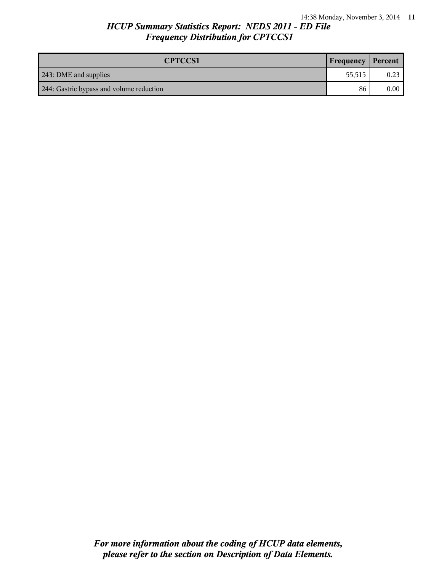| <b>CPTCCS1</b>                           | Frequency   Percent |                |
|------------------------------------------|---------------------|----------------|
| 243: DME and supplies                    | 55.515              | 0.23           |
| 244: Gastric bypass and volume reduction | 86                  | $0.00^{\circ}$ |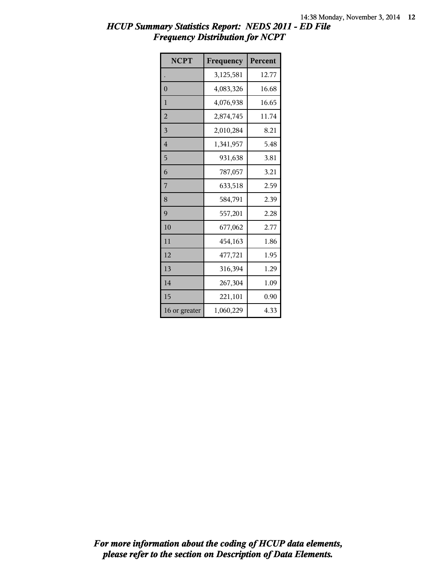| <b>NCPT</b>    | Frequency | Percent |
|----------------|-----------|---------|
|                | 3,125,581 | 12.77   |
| $\overline{0}$ | 4,083,326 | 16.68   |
| 1              | 4,076,938 | 16.65   |
| $\overline{2}$ | 2,874,745 | 11.74   |
| 3              | 2,010,284 | 8.21    |
| $\overline{4}$ | 1,341,957 | 5.48    |
| 5              | 931,638   | 3.81    |
| 6              | 787,057   | 3.21    |
| 7              | 633,518   | 2.59    |
| 8              | 584,791   | 2.39    |
| 9              | 557,201   | 2.28    |
| 10             | 677,062   | 2.77    |
| 11             | 454,163   | 1.86    |
| 12             | 477,721   | 1.95    |
| 13             | 316,394   | 1.29    |
| 14             | 267,304   | 1.09    |
| 15             | 221,101   | 0.90    |
| 16 or greater  | 1,060,229 | 4.33    |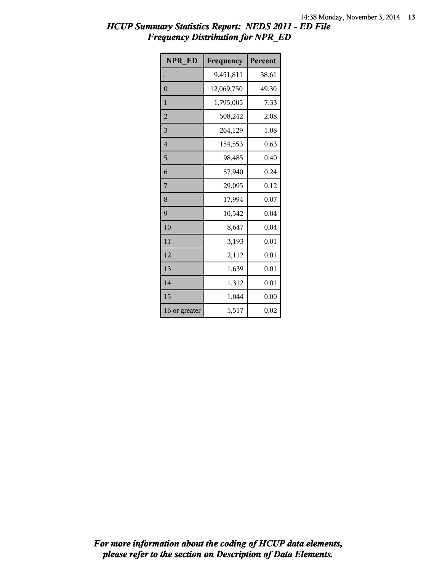| <b>NPR ED</b>  | Frequency  | Percent |
|----------------|------------|---------|
|                | 9,451,811  | 38.61   |
| $\overline{0}$ | 12,069,750 | 49.30   |
| $\mathbf{1}$   | 1,795,005  | 7.33    |
| $\overline{2}$ | 508,242    | 2.08    |
| 3              | 264,129    | 1.08    |
| 4              | 154,553    | 0.63    |
| 5              | 98,485     | 0.40    |
| 6              | 57,940     | 0.24    |
| 7              | 29,095     | 0.12    |
| 8              | 17,994     | 0.07    |
| 9              | 10,542     | 0.04    |
| 10             | 8,647      | 0.04    |
| 11             | 3,193      | 0.01    |
| 12             | 2,112      | 0.01    |
| 13             | 1,639      | 0.01    |
| 14             | 1,312      | 0.01    |
| 15             | 1,044      | 0.00    |
| 16 or greater  | 5,517      | 0.02    |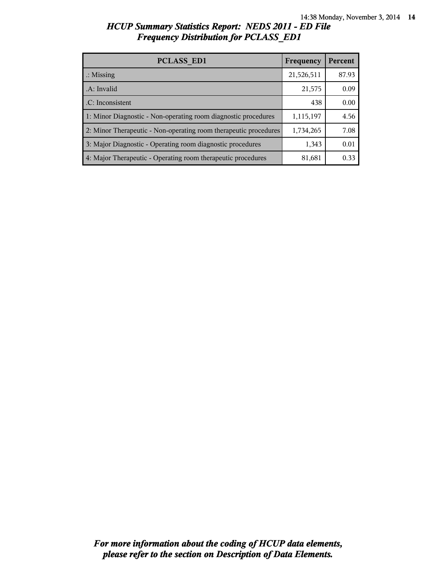| <b>PCLASS ED1</b>                                                | Frequency  | Percent |
|------------------------------------------------------------------|------------|---------|
| $\therefore$ Missing                                             | 21,526,511 | 87.93   |
| .A: Invalid                                                      | 21,575     | 0.09    |
| .C: Inconsistent                                                 | 438        | 0.00    |
| 1: Minor Diagnostic - Non-operating room diagnostic procedures   | 1,115,197  | 4.56    |
| 2: Minor Therapeutic - Non-operating room therapeutic procedures | 1,734,265  | 7.08    |
| 3: Major Diagnostic - Operating room diagnostic procedures       | 1,343      | 0.01    |
| 4: Major Therapeutic - Operating room therapeutic procedures     | 81,681     | 0.33    |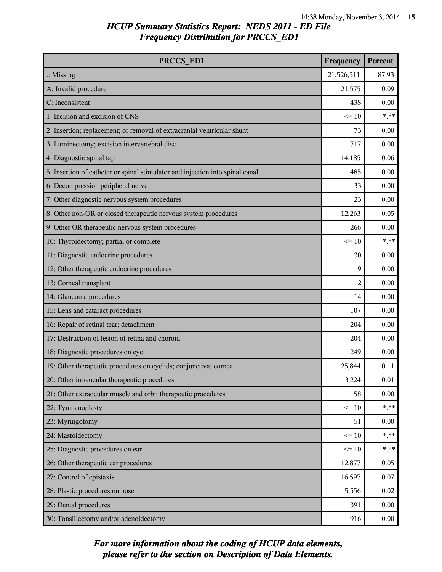| PRCCS ED1                                                                     | Frequency  | Percent |
|-------------------------------------------------------------------------------|------------|---------|
| $\therefore$ Missing                                                          | 21,526,511 | 87.93   |
| A: Invalid procedure                                                          | 21,575     | 0.09    |
| C: Inconsistent                                                               | 438        | 0.00    |
| 1: Incision and excision of CNS                                               | $\leq 10$  | $***$   |
| 2: Insertion; replacement; or removal of extracranial ventricular shunt       | 73         | 0.00    |
| 3: Laminectomy; excision intervertebral disc                                  | 717        | 0.00    |
| 4: Diagnostic spinal tap                                                      | 14,185     | 0.06    |
| 5: Insertion of catheter or spinal stimulator and injection into spinal canal | 485        | 0.00    |
| 6: Decompression peripheral nerve                                             | 33         | 0.00    |
| 7: Other diagnostic nervous system procedures                                 | 23         | 0.00    |
| 8: Other non-OR or closed therapeutic nervous system procedures               | 12,263     | 0.05    |
| 9: Other OR therapeutic nervous system procedures                             | 266        | 0.00    |
| 10: Thyroidectomy; partial or complete                                        | $\leq 10$  | $* * *$ |
| 11: Diagnostic endocrine procedures                                           | 30         | 0.00    |
| 12: Other therapeutic endocrine procedures                                    | 19         | 0.00    |
| 13: Corneal transplant                                                        | 12         | 0.00    |
| 14: Glaucoma procedures                                                       | 14         | 0.00    |
| 15: Lens and cataract procedures                                              | 107        | 0.00    |
| 16: Repair of retinal tear; detachment                                        | 204        | 0.00    |
| 17: Destruction of lesion of retina and choroid                               | 204        | 0.00    |
| 18: Diagnostic procedures on eye                                              | 249        | 0.00    |
| 19: Other therapeutic procedures on eyelids; conjunctiva; cornea              | 25,844     | 0.11    |
| 20: Other intraocular therapeutic procedures                                  | 3,224      | 0.01    |
| 21: Other extraocular muscle and orbit therapeutic procedures                 | 158        | 0.00    |
| 22: Tympanoplasty                                                             | $\leq 10$  | $***$   |
| 23: Myringotomy                                                               | 51         | 0.00    |
| 24: Mastoidectomy                                                             | $\leq 10$  | $* * *$ |
| 25: Diagnostic procedures on ear                                              | $\leq 10$  | $* * *$ |
| 26: Other therapeutic ear procedures                                          | 12,877     | 0.05    |
| 27: Control of epistaxis                                                      | 16,597     | 0.07    |
| 28: Plastic procedures on nose                                                | 5,556      | 0.02    |
| 29: Dental procedures                                                         | 391        | 0.00    |
| 30: Tonsillectomy and/or adenoidectomy                                        | 916        | 0.00    |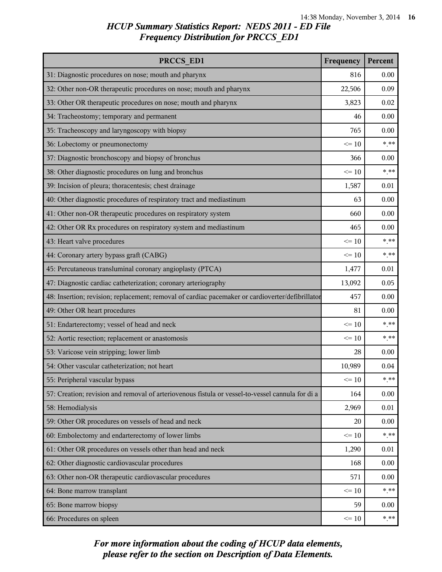| PRCCS ED1                                                                                        | Frequency | Percent |
|--------------------------------------------------------------------------------------------------|-----------|---------|
| 31: Diagnostic procedures on nose; mouth and pharynx                                             | 816       | 0.00    |
| 32: Other non-OR therapeutic procedures on nose; mouth and pharynx                               | 22,506    | 0.09    |
| 33: Other OR therapeutic procedures on nose; mouth and pharynx                                   | 3,823     | 0.02    |
| 34: Tracheostomy; temporary and permanent                                                        | 46        | 0.00    |
| 35: Tracheoscopy and laryngoscopy with biopsy                                                    | 765       | 0.00    |
| 36: Lobectomy or pneumonectomy                                                                   | $\leq 10$ | $***$   |
| 37: Diagnostic bronchoscopy and biopsy of bronchus                                               | 366       | 0.00    |
| 38: Other diagnostic procedures on lung and bronchus                                             | $\leq 10$ | $***$   |
| 39: Incision of pleura; thoracentesis; chest drainage                                            | 1,587     | 0.01    |
| 40: Other diagnostic procedures of respiratory tract and mediastinum                             | 63        | 0.00    |
| 41: Other non-OR therapeutic procedures on respiratory system                                    | 660       | 0.00    |
| 42: Other OR Rx procedures on respiratory system and mediastinum                                 | 465       | 0.00    |
| 43: Heart valve procedures                                                                       | $\leq 10$ | $***$   |
| 44: Coronary artery bypass graft (CABG)                                                          | $\leq 10$ | $***$   |
| 45: Percutaneous transluminal coronary angioplasty (PTCA)                                        | 1,477     | 0.01    |
| 47: Diagnostic cardiac catheterization; coronary arteriography                                   | 13,092    | 0.05    |
| 48: Insertion; revision; replacement; removal of cardiac pacemaker or cardioverter/defibrillator | 457       | 0.00    |
| 49: Other OR heart procedures                                                                    | 81        | 0.00    |
| 51: Endarterectomy; vessel of head and neck                                                      | $\leq 10$ | $***$   |
| 52: Aortic resection; replacement or anastomosis                                                 | $\leq 10$ | $***$   |
| 53: Varicose vein stripping; lower limb                                                          | 28        | 0.00    |
| 54: Other vascular catheterization; not heart                                                    | 10,989    | 0.04    |
| 55: Peripheral vascular bypass                                                                   | $\leq 10$ | $* * *$ |
| 57: Creation; revision and removal of arteriovenous fistula or vessel-to-vessel cannula for di a | 164       | 0.00    |
| 58: Hemodialysis                                                                                 | 2,969     | 0.01    |
| 59: Other OR procedures on vessels of head and neck                                              | 20        | 0.00    |
| 60: Embolectomy and endarterectomy of lower limbs                                                | $\leq 10$ | $***$   |
| 61: Other OR procedures on vessels other than head and neck                                      | 1,290     | 0.01    |
| 62: Other diagnostic cardiovascular procedures                                                   | 168       | 0.00    |
| 63: Other non-OR therapeutic cardiovascular procedures                                           | 571       | 0.00    |
| 64: Bone marrow transplant                                                                       | $\leq 10$ | $***$   |
| 65: Bone marrow biopsy                                                                           | 59        | 0.00    |
| 66: Procedures on spleen                                                                         | $\leq 10$ | $***$   |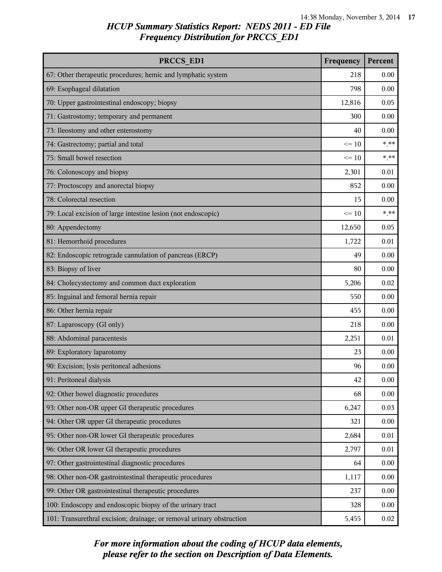| PRCCS ED1                                                             | Frequency | Percent |
|-----------------------------------------------------------------------|-----------|---------|
| 67: Other therapeutic procedures; hemic and lymphatic system          | 218       | 0.00    |
| 69: Esophageal dilatation                                             | 798       | 0.00    |
| 70: Upper gastrointestinal endoscopy; biopsy                          | 12,816    | 0.05    |
| 71: Gastrostomy; temporary and permanent                              | 300       | 0.00    |
| 73: Ileostomy and other enterostomy                                   | 40        | 0.00    |
| 74: Gastrectomy; partial and total                                    | $\leq 10$ | $***$   |
| 75: Small bowel resection                                             | $\leq 10$ | $***$   |
| 76: Colonoscopy and biopsy                                            | 2,301     | 0.01    |
| 77: Proctoscopy and anorectal biopsy                                  | 852       | 0.00    |
| 78: Colorectal resection                                              | 15        | 0.00    |
| 79: Local excision of large intestine lesion (not endoscopic)         | $\leq 10$ | $***$   |
| 80: Appendectomy                                                      | 12,650    | 0.05    |
| 81: Hemorrhoid procedures                                             | 1,722     | 0.01    |
| 82: Endoscopic retrograde cannulation of pancreas (ERCP)              | 49        | 0.00    |
| 83: Biopsy of liver                                                   | 80        | 0.00    |
| 84: Cholecystectomy and common duct exploration                       | 5,206     | 0.02    |
| 85: Inguinal and femoral hernia repair                                | 550       | 0.00    |
| 86: Other hernia repair                                               | 455       | 0.00    |
| 87: Laparoscopy (GI only)                                             | 218       | 0.00    |
| 88: Abdominal paracentesis                                            | 2,251     | 0.01    |
| 89: Exploratory laparotomy                                            | 23        | 0.00    |
| 90: Excision; lysis peritoneal adhesions                              | 96        | 0.00    |
| 91: Peritoneal dialysis                                               | 42        | 0.00    |
| 92: Other bowel diagnostic procedures                                 | 68        | 0.00    |
| 93: Other non-OR upper GI therapeutic procedures                      | 6,247     | 0.03    |
| 94: Other OR upper GI therapeutic procedures                          | 321       | 0.00    |
| 95: Other non-OR lower GI therapeutic procedures                      | 2,684     | 0.01    |
| 96: Other OR lower GI therapeutic procedures                          | 2,797     | 0.01    |
| 97: Other gastrointestinal diagnostic procedures                      | 64        | 0.00    |
| 98: Other non-OR gastrointestinal therapeutic procedures              | 1,117     | 0.00    |
| 99: Other OR gastrointestinal therapeutic procedures                  | 237       | 0.00    |
| 100: Endoscopy and endoscopic biopsy of the urinary tract             | 328       | 0.00    |
| 101: Transurethral excision; drainage; or removal urinary obstruction | 5,455     | 0.02    |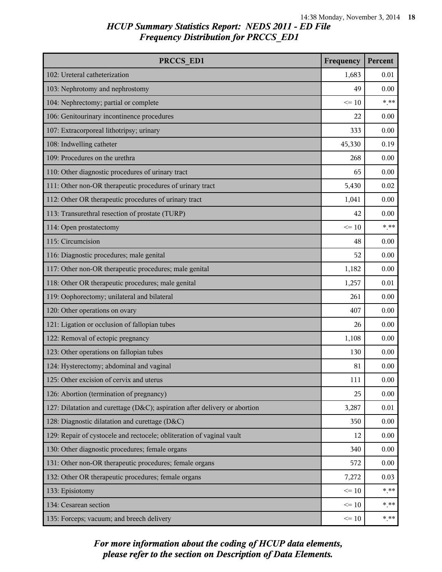| PRCCS ED1                                                                  | Frequency | Percent |
|----------------------------------------------------------------------------|-----------|---------|
| 102: Ureteral catheterization                                              | 1,683     | 0.01    |
| 103: Nephrotomy and nephrostomy                                            | 49        | 0.00    |
| 104: Nephrectomy; partial or complete                                      | $\leq 10$ | $***$   |
| 106: Genitourinary incontinence procedures                                 | 22        | 0.00    |
| 107: Extracorporeal lithotripsy; urinary                                   | 333       | 0.00    |
| 108: Indwelling catheter                                                   | 45,330    | 0.19    |
| 109: Procedures on the urethra                                             | 268       | 0.00    |
| 110: Other diagnostic procedures of urinary tract                          | 65        | 0.00    |
| 111: Other non-OR therapeutic procedures of urinary tract                  | 5,430     | 0.02    |
| 112: Other OR therapeutic procedures of urinary tract                      | 1,041     | 0.00    |
| 113: Transurethral resection of prostate (TURP)                            | 42        | 0.00    |
| 114: Open prostatectomy                                                    | $\leq 10$ | $***$   |
| 115: Circumcision                                                          | 48        | 0.00    |
| 116: Diagnostic procedures; male genital                                   | 52        | 0.00    |
| 117: Other non-OR therapeutic procedures; male genital                     | 1,182     | 0.00    |
| 118: Other OR therapeutic procedures; male genital                         | 1,257     | 0.01    |
| 119: Oophorectomy; unilateral and bilateral                                | 261       | 0.00    |
| 120: Other operations on ovary                                             | 407       | 0.00    |
| 121: Ligation or occlusion of fallopian tubes                              | 26        | 0.00    |
| 122: Removal of ectopic pregnancy                                          | 1,108     | 0.00    |
| 123: Other operations on fallopian tubes                                   | 130       | 0.00    |
| 124: Hysterectomy; abdominal and vaginal                                   | 81        | 0.00    |
| 125: Other excision of cervix and uterus                                   | 111       | 0.00    |
| 126: Abortion (termination of pregnancy)                                   | 25        | 0.00    |
| 127: Dilatation and curettage (D&C); aspiration after delivery or abortion | 3,287     | 0.01    |
| 128: Diagnostic dilatation and curettage (D&C)                             | 350       | 0.00    |
| 129: Repair of cystocele and rectocele; obliteration of vaginal vault      | 12        | 0.00    |
| 130: Other diagnostic procedures; female organs                            | 340       | 0.00    |
| 131: Other non-OR therapeutic procedures; female organs                    | 572       | 0.00    |
| 132: Other OR therapeutic procedures; female organs                        | 7,272     | 0.03    |
| 133: Episiotomy                                                            | $\leq 10$ | $***$   |
| 134: Cesarean section                                                      | $\leq 10$ | $***$   |
| 135: Forceps; vacuum; and breech delivery                                  | $\leq 10$ | $***$   |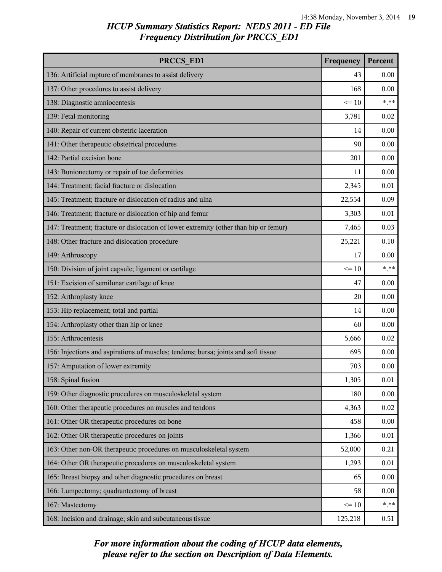| PRCCS ED1                                                                            | Frequency | Percent |
|--------------------------------------------------------------------------------------|-----------|---------|
| 136: Artificial rupture of membranes to assist delivery                              | 43        | 0.00    |
| 137: Other procedures to assist delivery                                             | 168       | 0.00    |
| 138: Diagnostic amniocentesis                                                        | $\leq 10$ | $* * *$ |
| 139: Fetal monitoring                                                                | 3,781     | 0.02    |
| 140: Repair of current obstetric laceration                                          | 14        | 0.00    |
| 141: Other therapeutic obstetrical procedures                                        | 90        | 0.00    |
| 142: Partial excision bone                                                           | 201       | 0.00    |
| 143: Bunionectomy or repair of toe deformities                                       | 11        | 0.00    |
| 144: Treatment; facial fracture or dislocation                                       | 2,345     | 0.01    |
| 145: Treatment; fracture or dislocation of radius and ulna                           | 22,554    | 0.09    |
| 146: Treatment; fracture or dislocation of hip and femur                             | 3,303     | 0.01    |
| 147: Treatment; fracture or dislocation of lower extremity (other than hip or femur) | 7,465     | 0.03    |
| 148: Other fracture and dislocation procedure                                        | 25,221    | 0.10    |
| 149: Arthroscopy                                                                     | 17        | 0.00    |
| 150: Division of joint capsule; ligament or cartilage                                | $\leq 10$ | $* * *$ |
| 151: Excision of semilunar cartilage of knee                                         | 47        | 0.00    |
| 152: Arthroplasty knee                                                               | 20        | 0.00    |
| 153: Hip replacement; total and partial                                              | 14        | 0.00    |
| 154: Arthroplasty other than hip or knee                                             | 60        | 0.00    |
| 155: Arthrocentesis                                                                  | 5,666     | 0.02    |
| 156: Injections and aspirations of muscles; tendons; bursa; joints and soft tissue   | 695       | 0.00    |
| 157: Amputation of lower extremity                                                   | 703       | 0.00    |
| 158: Spinal fusion                                                                   | 1,305     | 0.01    |
| 159: Other diagnostic procedures on musculoskeletal system                           | 180       | 0.00    |
| 160: Other therapeutic procedures on muscles and tendons                             | 4,363     | 0.02    |
| 161: Other OR therapeutic procedures on bone                                         | 458       | 0.00    |
| 162: Other OR therapeutic procedures on joints                                       | 1,366     | 0.01    |
| 163: Other non-OR therapeutic procedures on musculoskeletal system                   | 52,000    | 0.21    |
| 164: Other OR therapeutic procedures on musculoskeletal system                       | 1,293     | 0.01    |
| 165: Breast biopsy and other diagnostic procedures on breast                         | 65        | 0.00    |
| 166: Lumpectomy; quadrantectomy of breast                                            | 58        | 0.00    |
| 167: Mastectomy                                                                      | $\leq 10$ | $* * *$ |
| 168: Incision and drainage; skin and subcutaneous tissue                             | 125,218   | 0.51    |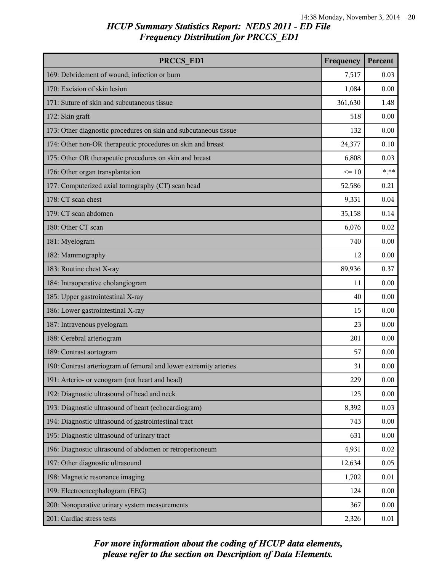| PRCCS ED1                                                         | Frequency | Percent |
|-------------------------------------------------------------------|-----------|---------|
| 169: Debridement of wound; infection or burn                      | 7,517     | 0.03    |
| 170: Excision of skin lesion                                      | 1,084     | 0.00    |
| 171: Suture of skin and subcutaneous tissue                       | 361,630   | 1.48    |
| 172: Skin graft                                                   | 518       | 0.00    |
| 173: Other diagnostic procedures on skin and subcutaneous tissue  | 132       | 0.00    |
| 174: Other non-OR therapeutic procedures on skin and breast       | 24,377    | 0.10    |
| 175: Other OR therapeutic procedures on skin and breast           | 6,808     | 0.03    |
| 176: Other organ transplantation                                  | $\leq 10$ | $* * *$ |
| 177: Computerized axial tomography (CT) scan head                 | 52,586    | 0.21    |
| 178: CT scan chest                                                | 9,331     | 0.04    |
| 179: CT scan abdomen                                              | 35,158    | 0.14    |
| 180: Other CT scan                                                | 6,076     | 0.02    |
| 181: Myelogram                                                    | 740       | 0.00    |
| 182: Mammography                                                  | 12        | 0.00    |
| 183: Routine chest X-ray                                          | 89,936    | 0.37    |
| 184: Intraoperative cholangiogram                                 | 11        | 0.00    |
| 185: Upper gastrointestinal X-ray                                 | 40        | 0.00    |
| 186: Lower gastrointestinal X-ray                                 | 15        | 0.00    |
| 187: Intravenous pyelogram                                        | 23        | 0.00    |
| 188: Cerebral arteriogram                                         | 201       | 0.00    |
| 189: Contrast aortogram                                           | 57        | 0.00    |
| 190: Contrast arteriogram of femoral and lower extremity arteries | 31        | 0.00    |
| 191: Arterio- or venogram (not heart and head)                    | 229       | 0.00    |
| 192: Diagnostic ultrasound of head and neck                       | 125       | 0.00    |
| 193: Diagnostic ultrasound of heart (echocardiogram)              | 8,392     | 0.03    |
| 194: Diagnostic ultrasound of gastrointestinal tract              | 743       | 0.00    |
| 195: Diagnostic ultrasound of urinary tract                       | 631       | 0.00    |
| 196: Diagnostic ultrasound of abdomen or retroperitoneum          | 4,931     | 0.02    |
| 197: Other diagnostic ultrasound                                  | 12,634    | 0.05    |
| 198: Magnetic resonance imaging                                   | 1,702     | 0.01    |
| 199: Electroencephalogram (EEG)                                   | 124       | 0.00    |
| 200: Nonoperative urinary system measurements                     | 367       | 0.00    |
| 201: Cardiac stress tests                                         | 2,326     | 0.01    |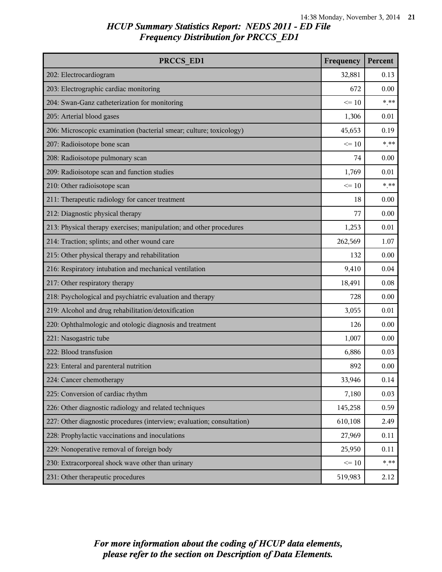| PRCCS ED1                                                              | Frequency | Percent |
|------------------------------------------------------------------------|-----------|---------|
| 202: Electrocardiogram                                                 | 32,881    | 0.13    |
| 203: Electrographic cardiac monitoring                                 | 672       | 0.00    |
| 204: Swan-Ganz catheterization for monitoring                          | $\leq 10$ | $***$   |
| 205: Arterial blood gases                                              | 1,306     | 0.01    |
| 206: Microscopic examination (bacterial smear; culture; toxicology)    | 45,653    | 0.19    |
| 207: Radioisotope bone scan                                            | $\leq 10$ | $***$   |
| 208: Radioisotope pulmonary scan                                       | 74        | 0.00    |
| 209: Radioisotope scan and function studies                            | 1,769     | 0.01    |
| 210: Other radioisotope scan                                           | $\leq 10$ | $***$   |
| 211: Therapeutic radiology for cancer treatment                        | 18        | 0.00    |
| 212: Diagnostic physical therapy                                       | 77        | 0.00    |
| 213: Physical therapy exercises; manipulation; and other procedures    | 1,253     | 0.01    |
| 214: Traction; splints; and other wound care                           | 262,569   | 1.07    |
| 215: Other physical therapy and rehabilitation                         | 132       | 0.00    |
| 216: Respiratory intubation and mechanical ventilation                 | 9,410     | 0.04    |
| 217: Other respiratory therapy                                         | 18,491    | 0.08    |
| 218: Psychological and psychiatric evaluation and therapy              | 728       | 0.00    |
| 219: Alcohol and drug rehabilitation/detoxification                    | 3,055     | 0.01    |
| 220: Ophthalmologic and otologic diagnosis and treatment               | 126       | 0.00    |
| 221: Nasogastric tube                                                  | 1,007     | 0.00    |
| 222: Blood transfusion                                                 | 6,886     | 0.03    |
| 223: Enteral and parenteral nutrition                                  | 892       | 0.00    |
| 224: Cancer chemotherapy                                               | 33,946    | 0.14    |
| 225: Conversion of cardiac rhythm                                      | 7,180     | 0.03    |
| 226: Other diagnostic radiology and related techniques                 | 145,258   | 0.59    |
| 227: Other diagnostic procedures (interview; evaluation; consultation) | 610,108   | 2.49    |
| 228: Prophylactic vaccinations and inoculations                        | 27,969    | 0.11    |
| 229: Nonoperative removal of foreign body                              | 25,950    | 0.11    |
| 230: Extracorporeal shock wave other than urinary                      | $\leq 10$ | $***$   |
| 231: Other therapeutic procedures                                      | 519,983   | 2.12    |